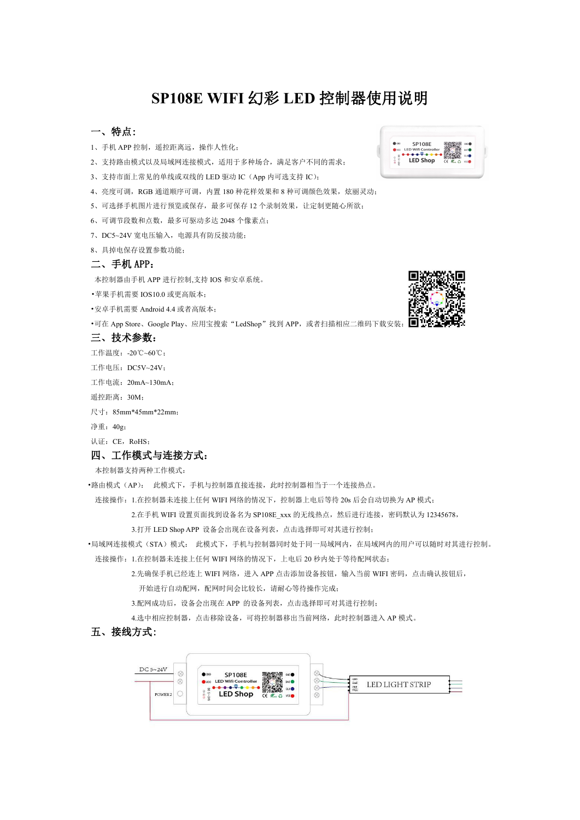# **SP108E WIFI** 幻彩 **LED** 控制器使用说明

# 一、特点:

- 1、手机 APP 控制, 遥控距离远, 操作人性化;
- 2、支持路由模式以及局域网连接模式,适用于多种场合,满足客户不同的需求; [12]
- 3、支持市面上常见的单线或双线的 LED 驱动 IC (App 内可选支持 IC);
- 4、亮度可调, RGB 通道顺序可调, 内置 180 种花样效果和 8 种可调颜色效果, 炫丽灵动;
- 5、可选择手机图片进行预览或保存,最多可保存 12 个录制效果,让定制更随心所欲;
- 6、可调节段数和点数,最多可驱动多达 2048 个像素点;
- 7、DC5~24V 宽电压输入,电源具有防反接功能;
- 8、具掉电保存设置参数功能;

## 二、手机 APP:

本控制器由手机 APP 进行控制,支持 IOS 和安卓系统。

- •苹果手机需要 IOS10.0 或更高版本;
- •安卓手机需要 Android 4.4 或者高版本;
- ·可在 App Store、Google Play、应用宝搜索"LedShop"找到 APP, 或者扫描相应二维码下载安装:

#### 三、技术参数:

- 工作温度:-20℃~60℃;
- 工作电压:DC5V~24V;
- 工作电流:20mA~130mA;
- 遥控距离:30M;
- 尺寸:85mm\*45mm\*22mm;
- 净重:40g;

认证: CE, RoHS;

## 四、工作模式与连接方式:

本控制器支持两种工作模式:

- •路由模式(AP): 此模式下,手机与控制器直接连接,此时控制器相当于一个连接热点。
	- 连接操作:1.在控制器未连接上任何 WIFI 网络的情况下,控制器上电后等待 20s 后会自动切换为 AP 模式;

2.在手机 WIFI 设置页面找到设备名为 SP108E\_xxx 的无线热点,然后进行连接,密码默认为 12345678,

3.打开 LED Shop APP 设备会出现在设备列表,点击选择即可对其进行控制;

•局域网连接模式(STA)模式: 此模式下,手机与控制器同时处于同一局域网内,在局域网内的用户可以随时对其进行控制。

连接操作: 1.在控制器未连接上任何 WIFI 网络的情况下, 上电后 20 秒内处于等待配网状态;

2.先确保手机已经连上 WIFI 网络,进入 APP 点击添加设备按钮,输入当前 WIFI 密码,点击确认按钮后,

开始进行自动配网,配网时间会比较长,请耐心等待操作完成;

3.配网成功后,设备会出现在 APP 的设备列表,点击选择即可对其进行控制;

4.选中相应控制器,点击移除设备,可将控制器移出当前网络,此时控制器进入 AP 模式。

### 五、接线方式:





SP108E